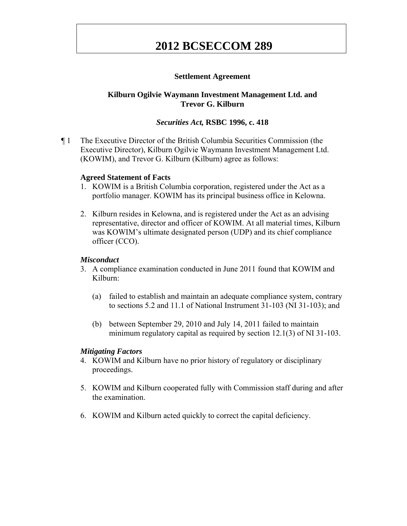# **Settlement Agreement**

# **Kilburn Ogilvie Waymann Investment Management Ltd. and Trevor G. Kilburn**

# *Securities Act,* **RSBC 1996, c. 418**

¶ 1 The Executive Director of the British Columbia Securities Commission (the Executive Director), Kilburn Ogilvie Waymann Investment Management Ltd. (KOWIM), and Trevor G. Kilburn (Kilburn) agree as follows:

## **Agreed Statement of Facts**

- 1. KOWIM is a British Columbia corporation, registered under the Act as a portfolio manager. KOWIM has its principal business office in Kelowna.
- 2. Kilburn resides in Kelowna, and is registered under the Act as an advising representative, director and officer of KOWIM. At all material times, Kilburn was KOWIM's ultimate designated person (UDP) and its chief compliance officer (CCO).

#### *Misconduct*

- 3. A compliance examination conducted in June 2011 found that KOWIM and Kilburn:
	- (a) failed to establish and maintain an adequate compliance system, contrary to sections 5.2 and 11.1 of National Instrument 31-103 (NI 31-103); and
	- (b) between September 29, 2010 and July 14, 2011 failed to maintain minimum regulatory capital as required by section 12.1(3) of NI 31-103.

#### *Mitigating Factors*

- 4. KOWIM and Kilburn have no prior history of regulatory or disciplinary proceedings.
- 5. KOWIM and Kilburn cooperated fully with Commission staff during and after the examination.
- 6. KOWIM and Kilburn acted quickly to correct the capital deficiency.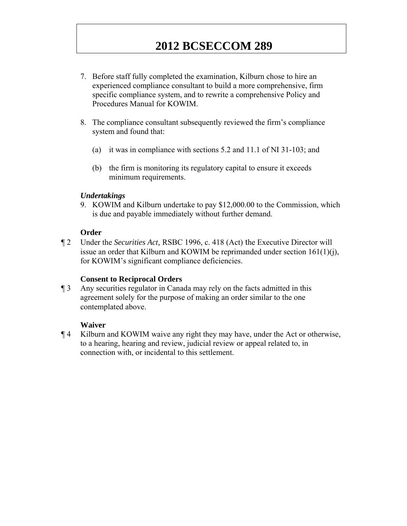- 7. Before staff fully completed the examination, Kilburn chose to hire an experienced compliance consultant to build a more comprehensive, firm specific compliance system, and to rewrite a comprehensive Policy and Procedures Manual for KOWIM.
- 8. The compliance consultant subsequently reviewed the firm's compliance system and found that:
	- (a) it was in compliance with sections 5.2 and 11.1 of NI 31-103; and
	- (b) the firm is monitoring its regulatory capital to ensure it exceeds minimum requirements.

# *Undertakings*

9. KOWIM and Kilburn undertake to pay \$12,000.00 to the Commission, which is due and payable immediately without further demand.

## **Order**

¶ 2 Under the *Securities Act,* RSBC 1996, c. 418 (Act) the Executive Director will issue an order that Kilburn and KOWIM be reprimanded under section 161(1)(j), for KOWIM's significant compliance deficiencies.

## **Consent to Reciprocal Orders**

¶ 3 Any securities regulator in Canada may rely on the facts admitted in this agreement solely for the purpose of making an order similar to the one contemplated above.

## **Waiver**

¶ 4 Kilburn and KOWIM waive any right they may have, under the Act or otherwise, to a hearing, hearing and review, judicial review or appeal related to, in connection with, or incidental to this settlement.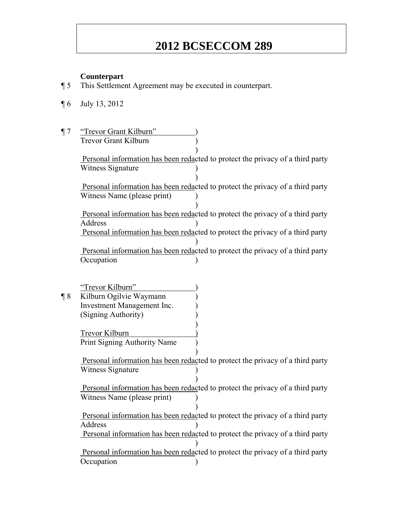#### **Counterpart**

- ¶ 5 This Settlement Agreement may be executed in counterpart.
- ¶ 6 July 13, 2012
- ¶ 7 "Trevor Grant Kilburn" ) Trevor Grant Kilburn )  $)$ Personal information has been redacted to protect the privacy of a third party Witness Signature (1)  $)$ Personal information has been redacted to protect the privacy of a third party ) Witness Name (please print) )  $)$ Personal information has been redacted to protect the privacy of a third party ) Address ) Personal information has been redacted to protect the privacy of a third party  $)$ Personal information has been redacted to protect the privacy of a third party ) Occupation )

"Trevor Kilburn" ) ¶ 8 Kilburn Ogilvie Waymann ) Investment Management Inc. ) (Signing Authority) )  $)$ Trevor Kilburn ) Print Signing Authority Name )  $)$  Personal information has been redacted to protect the privacy of a third party ) Witness Signature  $)$  Personal information has been redacted to protect the privacy of a third party ) Witness Name (please print) )  $)$ Personal information has been redacted to protect the privacy of a third party ) Address ) Personal information has been redacted to protect the privacy of a third party )  $)$ Personal information has been redacted to protect the privacy of a third party ) Occupation (1)